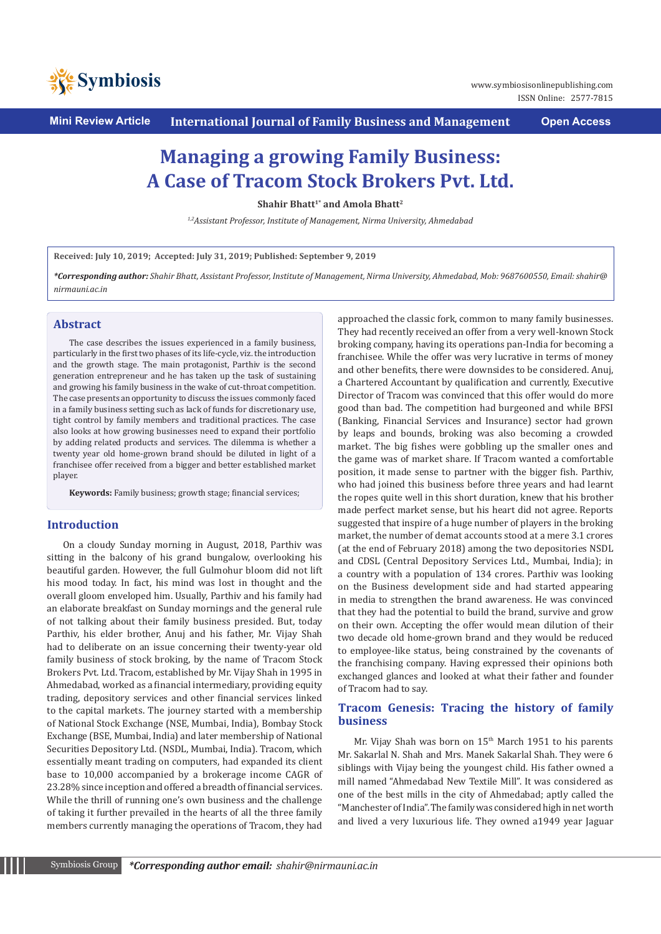

**Mini Review Article International Journal of Family Business and Management Open Access**

# **Managing a growing Family Business: A Case of Tracom Stock Brokers Pvt. Ltd.**

**Shahir Bhatt<sup>1\*</sup> and Amola Bhatt<sup>2</sup>** 

*1,2Assistant Professor, Institute of Management, Nirma University, Ahmedabad*

**Received: July 10, 2019; Accepted: July 31, 2019; Published: September 9, 2019**

*\*Corresponding author: Shahir Bhatt, Assistant Professor, Institute of Management, Nirma University, Ahmedabad, Mob: 9687600550, Email: shahir@ nirmauni.ac.in*

## **Abstract**

The case describes the issues experienced in a family business, particularly in the first two phases of its life-cycle, viz. the introduction and the growth stage. The main protagonist, Parthiv is the second generation entrepreneur and he has taken up the task of sustaining and growing his family business in the wake of cut-throat competition. The case presents an opportunity to discuss the issues commonly faced in a family business setting such as lack of funds for discretionary use, tight control by family members and traditional practices. The case also looks at how growing businesses need to expand their portfolio by adding related products and services. The dilemma is whether a twenty year old home-grown brand should be diluted in light of a franchisee offer received from a bigger and better established market player.

**Keywords:** Family business; growth stage; financial services;

## **Introduction**

On a cloudy Sunday morning in August, 2018, Parthiv was sitting in the balcony of his grand bungalow, overlooking his beautiful garden. However, the full Gulmohur bloom did not lift his mood today. In fact, his mind was lost in thought and the overall gloom enveloped him. Usually, Parthiv and his family had an elaborate breakfast on Sunday mornings and the general rule of not talking about their family business presided. But, today Parthiv, his elder brother, Anuj and his father, Mr. Vijay Shah had to deliberate on an issue concerning their twenty-year old family business of stock broking, by the name of Tracom Stock Brokers Pvt. Ltd. Tracom, established by Mr. Vijay Shah in 1995 in Ahmedabad, worked as a financial intermediary, providing equity trading, depository services and other financial services linked to the capital markets. The journey started with a membership of National Stock Exchange (NSE, Mumbai, India), Bombay Stock Exchange (BSE, Mumbai, India) and later membership of National Securities Depository Ltd. (NSDL, Mumbai, India). Tracom, which essentially meant trading on computers, had expanded its client base to 10,000 accompanied by a brokerage income CAGR of 23.28% since inception and offered a breadth of financial services. While the thrill of running one's own business and the challenge of taking it further prevailed in the hearts of all the three family members currently managing the operations of Tracom, they had approached the classic fork, common to many family businesses. They had recently received an offer from a very well-known Stock broking company, having its operations pan-India for becoming a franchisee. While the offer was very lucrative in terms of money and other benefits, there were downsides to be considered. Anuj, a Chartered Accountant by qualification and currently, Executive Director of Tracom was convinced that this offer would do more good than bad. The competition had burgeoned and while BFSI (Banking, Financial Services and Insurance) sector had grown by leaps and bounds, broking was also becoming a crowded market. The big fishes were gobbling up the smaller ones and the game was of market share. If Tracom wanted a comfortable position, it made sense to partner with the bigger fish. Parthiv, who had joined this business before three years and had learnt the ropes quite well in this short duration, knew that his brother made perfect market sense, but his heart did not agree. Reports suggested that inspire of a huge number of players in the broking market, the number of demat accounts stood at a mere 3.1 crores (at the end of February 2018) among the two depositories NSDL and CDSL (Central Depository Services Ltd., Mumbai, India); in a country with a population of 134 crores. Parthiv was looking on the Business development side and had started appearing in media to strengthen the brand awareness. He was convinced that they had the potential to build the brand, survive and grow on their own. Accepting the offer would mean dilution of their two decade old home-grown brand and they would be reduced to employee-like status, being constrained by the covenants of the franchising company. Having expressed their opinions both exchanged glances and looked at what their father and founder of Tracom had to say.

# **Tracom Genesis: Tracing the history of family business**

Mr. Vijay Shah was born on 15<sup>th</sup> March 1951 to his parents Mr. Sakarlal N. Shah and Mrs. Manek Sakarlal Shah. They were 6 siblings with Vijay being the youngest child. His father owned a mill named "Ahmedabad New Textile Mill". It was considered as one of the best mills in the city of Ahmedabad; aptly called the "Manchester of India". The family was considered high in net worth and lived a very luxurious life. They owned a1949 year Jaguar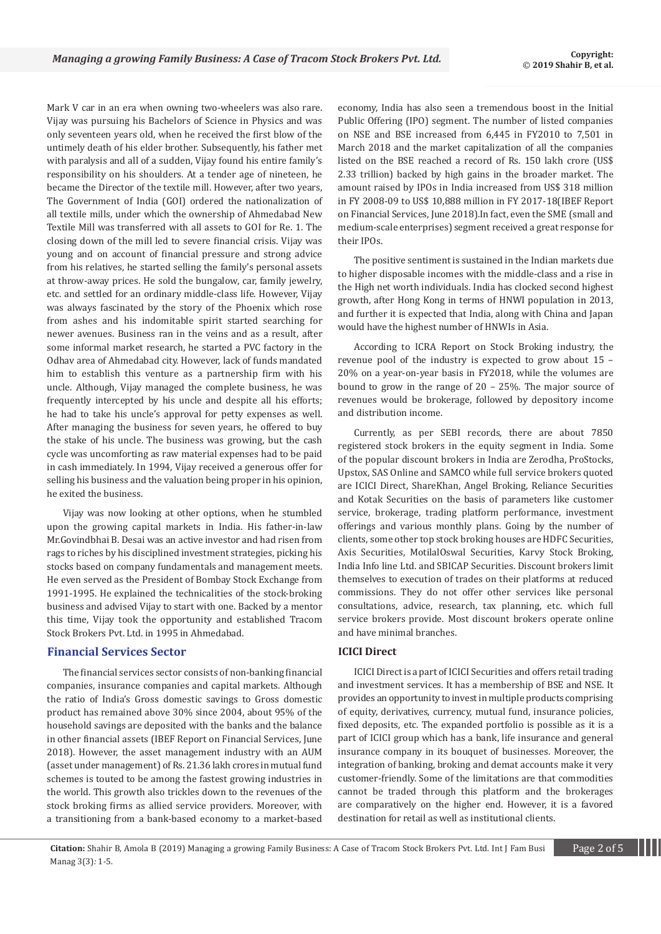Mark V car in an era when owning two-wheelers was also rare. Vijay was pursuing his Bachelors of Science in Physics and was only seventeen years old, when he received the first blow of the untimely death of his elder brother. Subsequently, his father met with paralysis and all of a sudden, Vijay found his entire family's responsibility on his shoulders. At a tender age of nineteen, he became the Director of the textile mill. However, after two years, The Government of India (GOI) ordered the nationalization of all textile mills, under which the ownership of Ahmedabad New Textile Mill was transferred with all assets to GOI for Re. 1. The closing down of the mill led to severe financial crisis. Vijay was young and on account of financial pressure and strong advice from his relatives, he started selling the family's personal assets at throw-away prices. He sold the bungalow, car, family jewelry, etc. and settled for an ordinary middle-class life. However, Vijay was always fascinated by the story of the Phoenix which rose from ashes and his indomitable spirit started searching for newer avenues. Business ran in the veins and as a result, after some informal market research, he started a PVC factory in the Odhav area of Ahmedabad city. However, lack of funds mandated him to establish this venture as a partnership firm with his uncle. Although, Vijay managed the complete business, he was frequently intercepted by his uncle and despite all his efforts; he had to take his uncle's approval for petty expenses as well. After managing the business for seven years, he offered to buy the stake of his uncle. The business was growing, but the cash cycle was uncomforting as raw material expenses had to be paid in cash immediately. In 1994, Vijay received a generous offer for selling his business and the valuation being proper in his opinion, he exited the business.

Vijay was now looking at other options, when he stumbled upon the growing capital markets in India. His father-in-law Mr.Govindbhai B. Desai was an active investor and had risen from rags to riches by his disciplined investment strategies, picking his stocks based on company fundamentals and management meets. He even served as the President of Bombay Stock Exchange from 1991-1995. He explained the technicalities of the stock-broking business and advised Vijay to start with one. Backed by a mentor this time, Vijay took the opportunity and established Tracom Stock Brokers Pvt. Ltd. in 1995 in Ahmedabad.

## **Financial Services Sector**

The financial services sector consists of non-banking financial companies, insurance companies and capital markets. Although the ratio of India's Gross domestic savings to Gross domestic product has remained above 30% since 2004, about 95% of the household savings are deposited with the banks and the balance in other financial assets (IBEF Report on Financial Services, June 2018). However, the asset management industry with an AUM (asset under management) of Rs. 21.36 lakh crores in mutual fund schemes is touted to be among the fastest growing industries in the world. This growth also trickles down to the revenues of the stock broking firms as allied service providers. Moreover, with a transitioning from a bank-based economy to a market-based

economy, India has also seen a tremendous boost in the Initial Public Offering (IPO) segment. The number of listed companies on NSE and BSE increased from 6,445 in FY2010 to 7,501 in March 2018 and the market capitalization of all the companies listed on the BSE reached a record of Rs. 150 lakh crore (US\$ 2.33 trillion) backed by high gains in the broader market. The amount raised by IPOs in India increased from US\$ 318 million in FY 2008-09 to US\$ 10,888 million in FY 2017-18(IBEF Report on Financial Services, June 2018).In fact, even the SME (small and medium-scale enterprises) segment received a great response for their IPOs.

The positive sentiment is sustained in the Indian markets due to higher disposable incomes with the middle-class and a rise in the High net worth individuals. India has clocked second highest growth, after Hong Kong in terms of HNWI population in 2013, and further it is expected that India, along with China and Japan would have the highest number of HNWIs in Asia.

According to ICRA Report on Stock Broking industry, the revenue pool of the industry is expected to grow about 15 – 20% on a year-on-year basis in FY2018, while the volumes are bound to grow in the range of 20 – 25%. The major source of revenues would be brokerage, followed by depository income and distribution income.

Currently, as per SEBI records, there are about 7850 registered stock brokers in the equity segment in India. Some of the popular discount brokers in India are Zerodha, ProStocks, Upstox, SAS Online and SAMCO while full service brokers quoted are ICICI Direct, ShareKhan, Angel Broking, Reliance Securities and Kotak Securities on the basis of parameters like customer service, brokerage, trading platform performance, investment offerings and various monthly plans. Going by the number of clients, some other top stock broking houses are HDFC Securities, Axis Securities, MotilalOswal Securities, Karvy Stock Broking, India Info line Ltd. and SBICAP Securities. Discount brokers limit themselves to execution of trades on their platforms at reduced commissions. They do not offer other services like personal consultations, advice, research, tax planning, etc. which full service brokers provide. Most discount brokers operate online and have minimal branches.

## **ICICI Direct**

ICICI Direct is a part of ICICI Securities and offers retail trading and investment services. It has a membership of BSE and NSE. It provides an opportunity to invest in multiple products comprising of equity, derivatives, currency, mutual fund, insurance policies, fixed deposits, etc. The expanded portfolio is possible as it is a part of ICICI group which has a bank, life insurance and general insurance company in its bouquet of businesses. Moreover, the integration of banking, broking and demat accounts make it very customer-friendly. Some of the limitations are that commodities cannot be traded through this platform and the brokerages are comparatively on the higher end. However, it is a favored destination for retail as well as institutional clients.

**Citation:** Shahir B, Amola B (2019) Managing a growing Family Business: A Case of Tracom Stock Brokers Pvt. Ltd. Int J Fam Busi Page 2 of 5 Manag 3(3)*:* 1*-*5.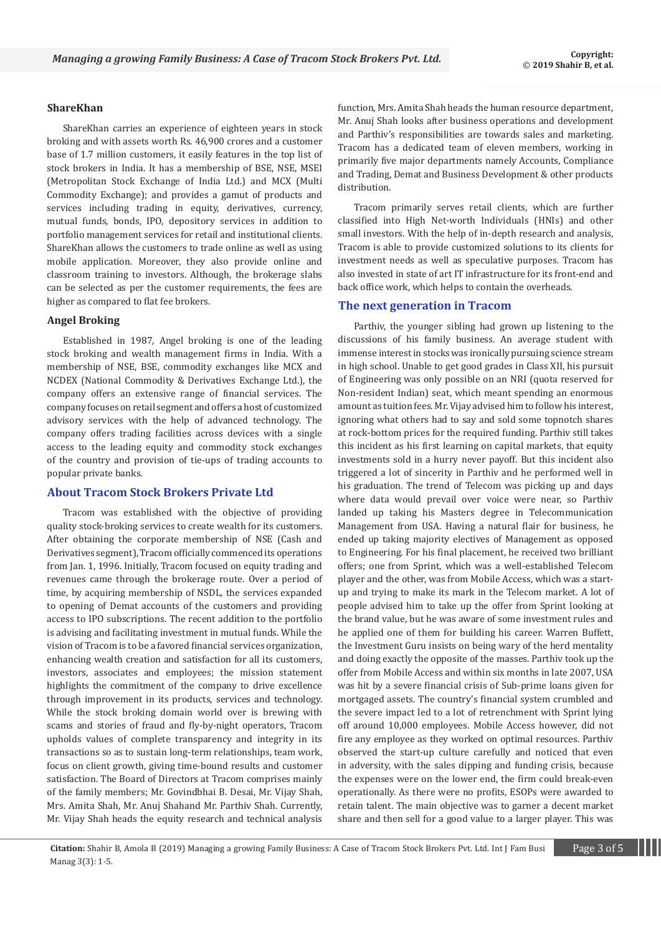#### **ShareKhan**

ShareKhan carries an experience of eighteen years in stock broking and with assets worth Rs. 46,900 crores and a customer base of 1.7 million customers, it easily features in the top list of stock brokers in India. It has a membership of BSE, NSE, MSEI (Metropolitan Stock Exchange of India Ltd.) and MCX (Multi Commodity Exchange); and provides a gamut of products and services including trading in equity, derivatives, currency, mutual funds, bonds, IPO, depository services in addition to portfolio management services for retail and institutional clients. ShareKhan allows the customers to trade online as well as using mobile application. Moreover, they also provide online and classroom training to investors. Although, the brokerage slabs can be selected as per the customer requirements, the fees are higher as compared to flat fee brokers.

## **Angel Broking**

Established in 1987, Angel broking is one of the leading stock broking and wealth management firms in India. With a membership of NSE, BSE, commodity exchanges like MCX and NCDEX (National Commodity & Derivatives Exchange Ltd.), the company offers an extensive range of financial services. The company focuses on retail segment and offers a host of customized advisory services with the help of advanced technology. The company offers trading facilities across devices with a single access to the leading equity and commodity stock exchanges of the country and provision of tie-ups of trading accounts to popular private banks.

## **About Tracom Stock Brokers Private Ltd**

Tracom was established with the objective of providing quality stock-broking services to create wealth for its customers. After obtaining the corporate membership of NSE (Cash and Derivatives segment), Tracom officially commenced its operations from Jan. 1, 1996. Initially, Tracom focused on equity trading and revenues came through the brokerage route. Over a period of time, by acquiring membership of NSDL, the services expanded to opening of Demat accounts of the customers and providing access to IPO subscriptions. The recent addition to the portfolio is advising and facilitating investment in mutual funds. While the vision of Tracom is to be a favored financial services organization, enhancing wealth creation and satisfaction for all its customers, investors, associates and employees; the mission statement highlights the commitment of the company to drive excellence through improvement in its products, services and technology. While the stock broking domain world over is brewing with scams and stories of fraud and fly-by-night operators, Tracom upholds values of complete transparency and integrity in its transactions so as to sustain long-term relationships, team work, focus on client growth, giving time-bound results and customer satisfaction. The Board of Directors at Tracom comprises mainly of the family members; Mr. Govindbhai B. Desai, Mr. Vijay Shah, Mrs. Amita Shah, Mr. Anuj Shahand Mr. Parthiv Shah. Currently, Mr. Vijay Shah heads the equity research and technical analysis function, Mrs. Amita Shah heads the human resource department, Mr. Anuj Shah looks after business operations and development and Parthiv's responsibilities are towards sales and marketing. Tracom has a dedicated team of eleven members, working in primarily five major departments namely Accounts, Compliance and Trading, Demat and Business Development & other products distribution.

Tracom primarily serves retail clients, which are further classified into High Net-worth Individuals (HNIs) and other small investors. With the help of in-depth research and analysis, Tracom is able to provide customized solutions to its clients for investment needs as well as speculative purposes. Tracom has also invested in state of art IT infrastructure for its front-end and back office work, which helps to contain the overheads.

#### **The next generation in Tracom**

Parthiv, the younger sibling had grown up listening to the discussions of his family business. An average student with immense interest in stocks was ironically pursuing science stream in high school. Unable to get good grades in Class XII, his pursuit of Engineering was only possible on an NRI (quota reserved for Non-resident Indian) seat, which meant spending an enormous amount as tuition fees. Mr. Vijay advised him to follow his interest, ignoring what others had to say and sold some topnotch shares at rock-bottom prices for the required funding. Parthiv still takes this incident as his first learning on capital markets, that equity investments sold in a hurry never payoff. But this incident also triggered a lot of sincerity in Parthiv and he performed well in his graduation. The trend of Telecom was picking up and days where data would prevail over voice were near, so Parthiv landed up taking his Masters degree in Telecommunication Management from USA. Having a natural flair for business, he ended up taking majority electives of Management as opposed to Engineering. For his final placement, he received two brilliant offers; one from Sprint, which was a well-established Telecom player and the other, was from Mobile Access, which was a startup and trying to make its mark in the Telecom market. A lot of people advised him to take up the offer from Sprint looking at the brand value, but he was aware of some investment rules and he applied one of them for building his career. Warren Buffett, the Investment Guru insists on being wary of the herd mentality and doing exactly the opposite of the masses. Parthiv took up the offer from Mobile Access and within six months in late 2007, USA was hit by a severe financial crisis of Sub-prime loans given for mortgaged assets. The country's financial system crumbled and the severe impact led to a lot of retrenchment with Sprint lying off around 10,000 employees. Mobile Access however, did not fire any employee as they worked on optimal resources. Parthiv observed the start-up culture carefully and noticed that even in adversity, with the sales dipping and funding crisis, because the expenses were on the lower end, the firm could break-even operationally. As there were no profits, ESOPs were awarded to retain talent. The main objective was to garner a decent market share and then sell for a good value to a larger player. This was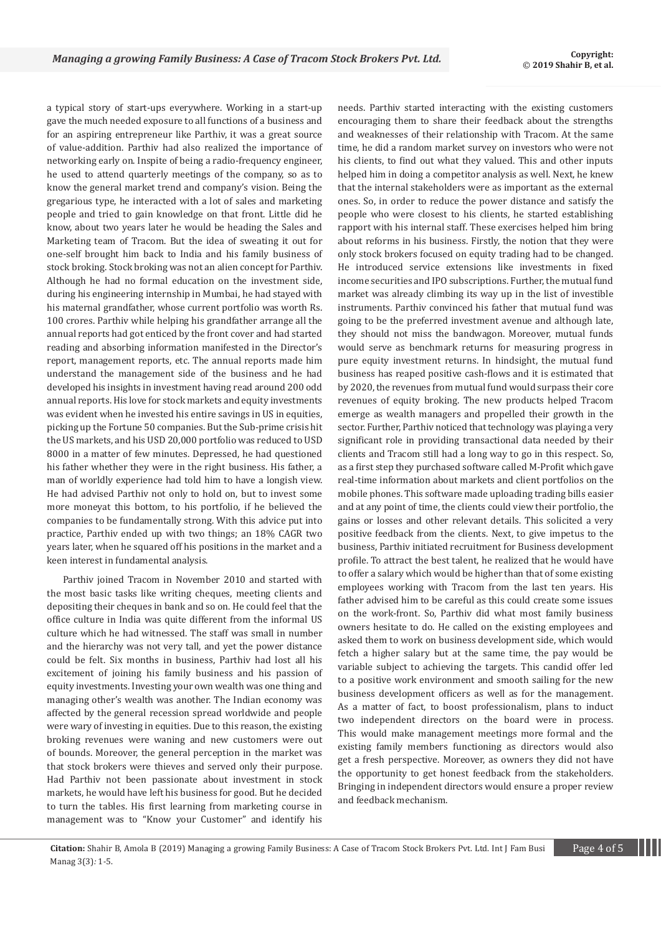a typical story of start-ups everywhere. Working in a start-up gave the much needed exposure to all functions of a business and for an aspiring entrepreneur like Parthiv, it was a great source of value-addition. Parthiv had also realized the importance of networking early on. Inspite of being a radio-frequency engineer, he used to attend quarterly meetings of the company, so as to know the general market trend and company's vision. Being the gregarious type, he interacted with a lot of sales and marketing people and tried to gain knowledge on that front. Little did he know, about two years later he would be heading the Sales and Marketing team of Tracom. But the idea of sweating it out for one-self brought him back to India and his family business of stock broking. Stock broking was not an alien concept for Parthiv. Although he had no formal education on the investment side, during his engineering internship in Mumbai, he had stayed with his maternal grandfather, whose current portfolio was worth Rs. 100 crores. Parthiv while helping his grandfather arrange all the annual reports had got enticed by the front cover and had started reading and absorbing information manifested in the Director's report, management reports, etc. The annual reports made him understand the management side of the business and he had developed his insights in investment having read around 200 odd annual reports. His love for stock markets and equity investments was evident when he invested his entire savings in US in equities, picking up the Fortune 50 companies. But the Sub-prime crisis hit the US markets, and his USD 20,000 portfolio was reduced to USD 8000 in a matter of few minutes. Depressed, he had questioned his father whether they were in the right business. His father, a man of worldly experience had told him to have a longish view. He had advised Parthiv not only to hold on, but to invest some more moneyat this bottom, to his portfolio, if he believed the companies to be fundamentally strong. With this advice put into practice, Parthiv ended up with two things; an 18% CAGR two years later, when he squared off his positions in the market and a keen interest in fundamental analysis.

Parthiv joined Tracom in November 2010 and started with the most basic tasks like writing cheques, meeting clients and depositing their cheques in bank and so on. He could feel that the office culture in India was quite different from the informal US culture which he had witnessed. The staff was small in number and the hierarchy was not very tall, and yet the power distance could be felt. Six months in business, Parthiv had lost all his excitement of joining his family business and his passion of equity investments. Investing your own wealth was one thing and managing other's wealth was another. The Indian economy was affected by the general recession spread worldwide and people were wary of investing in equities. Due to this reason, the existing broking revenues were waning and new customers were out of bounds. Moreover, the general perception in the market was that stock brokers were thieves and served only their purpose. Had Parthiv not been passionate about investment in stock markets, he would have left his business for good. But he decided to turn the tables. His first learning from marketing course in management was to "Know your Customer" and identify his needs. Parthiv started interacting with the existing customers encouraging them to share their feedback about the strengths and weaknesses of their relationship with Tracom. At the same time, he did a random market survey on investors who were not his clients, to find out what they valued. This and other inputs helped him in doing a competitor analysis as well. Next, he knew that the internal stakeholders were as important as the external ones. So, in order to reduce the power distance and satisfy the people who were closest to his clients, he started establishing rapport with his internal staff. These exercises helped him bring about reforms in his business. Firstly, the notion that they were only stock brokers focused on equity trading had to be changed. He introduced service extensions like investments in fixed income securities and IPO subscriptions. Further, the mutual fund market was already climbing its way up in the list of investible instruments. Parthiv convinced his father that mutual fund was going to be the preferred investment avenue and although late, they should not miss the bandwagon. Moreover, mutual funds would serve as benchmark returns for measuring progress in pure equity investment returns. In hindsight, the mutual fund business has reaped positive cash-flows and it is estimated that by 2020, the revenues from mutual fund would surpass their core revenues of equity broking. The new products helped Tracom emerge as wealth managers and propelled their growth in the sector. Further, Parthiv noticed that technology was playing a very significant role in providing transactional data needed by their clients and Tracom still had a long way to go in this respect. So, as a first step they purchased software called M-Profit which gave real-time information about markets and client portfolios on the mobile phones. This software made uploading trading bills easier and at any point of time, the clients could view their portfolio, the gains or losses and other relevant details. This solicited a very positive feedback from the clients. Next, to give impetus to the business, Parthiv initiated recruitment for Business development profile. To attract the best talent, he realized that he would have to offer a salary which would be higher than that of some existing employees working with Tracom from the last ten years. His father advised him to be careful as this could create some issues on the work-front. So, Parthiv did what most family business owners hesitate to do. He called on the existing employees and asked them to work on business development side, which would fetch a higher salary but at the same time, the pay would be variable subject to achieving the targets. This candid offer led to a positive work environment and smooth sailing for the new business development officers as well as for the management. As a matter of fact, to boost professionalism, plans to induct two independent directors on the board were in process. This would make management meetings more formal and the existing family members functioning as directors would also get a fresh perspective. Moreover, as owners they did not have the opportunity to get honest feedback from the stakeholders. Bringing in independent directors would ensure a proper review and feedback mechanism.

**Citation:** Shahir B, Amola B (2019) Managing a growing Family Business: A Case of Tracom Stock Brokers Pvt. Ltd. Int J Fam Busi Page 4 of 5 Manag 3(3)*:* 1*-*5.